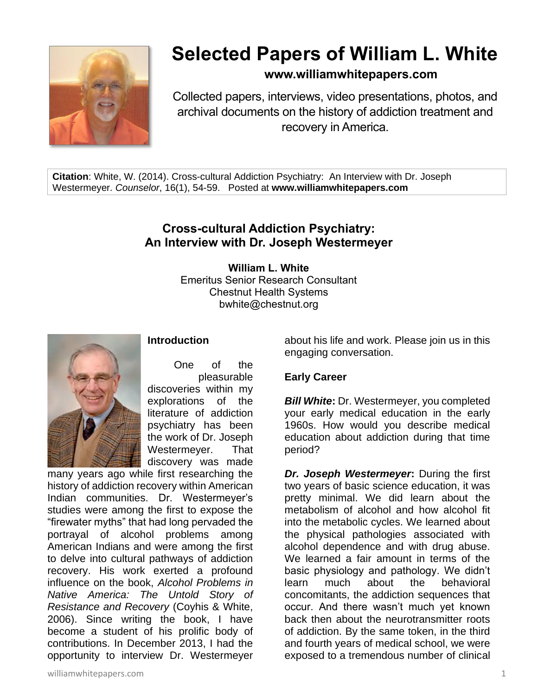

# **Selected Papers of William L. White**

# **www.williamwhitepapers.com**

Collected papers, interviews, video presentations, photos, and archival documents on the history of addiction treatment and recovery in America.

**Citation**: White, W. (2014). Cross-cultural Addiction Psychiatry: An Interview with Dr. Joseph Westermeyer. *Counselor*, 16(1), 54-59. Posted at **www.williamwhitepapers.com**

# **Cross-cultural Addiction Psychiatry: An Interview with Dr. Joseph Westermeyer**

**William L. White** Emeritus Senior Research Consultant Chestnut Health Systems bwhite@chestnut.org



## **Introduction**

One of the pleasurable discoveries within my explorations of the literature of addiction psychiatry has been the work of Dr. Joseph Westermeyer. That discovery was made

many years ago while first researching the history of addiction recovery within American Indian communities. Dr. Westermeyer's studies were among the first to expose the "firewater myths" that had long pervaded the portrayal of alcohol problems among American Indians and were among the first to delve into cultural pathways of addiction recovery. His work exerted a profound influence on the book, *Alcohol Problems in Native America: The Untold Story of Resistance and Recovery* (Coyhis & White, 2006). Since writing the book, I have become a student of his prolific body of contributions. In December 2013, I had the opportunity to interview Dr. Westermeyer

about his life and work. Please join us in this engaging conversation.

#### **Early Career**

*Bill White***:** Dr. Westermeyer, you completed your early medical education in the early 1960s. How would you describe medical education about addiction during that time period?

*Dr. Joseph Westermeyer***:** During the first two years of basic science education, it was pretty minimal. We did learn about the metabolism of alcohol and how alcohol fit into the metabolic cycles. We learned about the physical pathologies associated with alcohol dependence and with drug abuse. We learned a fair amount in terms of the basic physiology and pathology. We didn't learn much about the behavioral concomitants, the addiction sequences that occur. And there wasn't much yet known back then about the neurotransmitter roots of addiction. By the same token, in the third and fourth years of medical school, we were exposed to a tremendous number of clinical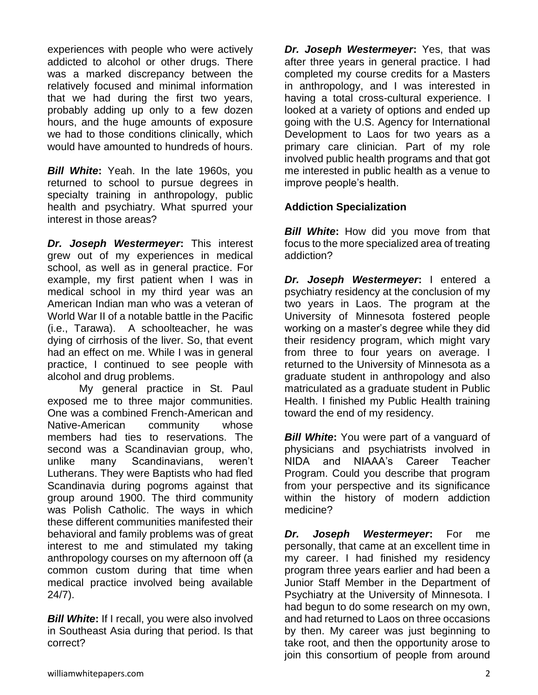experiences with people who were actively addicted to alcohol or other drugs. There was a marked discrepancy between the relatively focused and minimal information that we had during the first two years, probably adding up only to a few dozen hours, and the huge amounts of exposure we had to those conditions clinically, which would have amounted to hundreds of hours.

*Bill White***:** Yeah. In the late 1960s, you returned to school to pursue degrees in specialty training in anthropology, public health and psychiatry. What spurred your interest in those areas?

*Dr. Joseph Westermeyer***:** This interest grew out of my experiences in medical school, as well as in general practice. For example, my first patient when I was in medical school in my third year was an American Indian man who was a veteran of World War II of a notable battle in the Pacific (i.e., Tarawa). A schoolteacher, he was dying of cirrhosis of the liver. So, that event had an effect on me. While I was in general practice, I continued to see people with alcohol and drug problems.

My general practice in St. Paul exposed me to three major communities. One was a combined French-American and Native-American community whose members had ties to reservations. The second was a Scandinavian group, who, unlike many Scandinavians, weren't Lutherans. They were Baptists who had fled Scandinavia during pogroms against that group around 1900. The third community was Polish Catholic. The ways in which these different communities manifested their behavioral and family problems was of great interest to me and stimulated my taking anthropology courses on my afternoon off (a common custom during that time when medical practice involved being available 24/7).

**Bill White:** If I recall, you were also involved in Southeast Asia during that period. Is that correct?

*Dr. Joseph Westermeyer***:** Yes, that was after three years in general practice. I had completed my course credits for a Masters in anthropology, and I was interested in having a total cross-cultural experience. I looked at a variety of options and ended up going with the U.S. Agency for International Development to Laos for two years as a primary care clinician. Part of my role involved public health programs and that got me interested in public health as a venue to improve people's health.

### **Addiction Specialization**

**Bill White:** How did you move from that focus to the more specialized area of treating addiction?

*Dr. Joseph Westermeyer***:** I entered a psychiatry residency at the conclusion of my two years in Laos. The program at the University of Minnesota fostered people working on a master's degree while they did their residency program, which might vary from three to four years on average. I returned to the University of Minnesota as a graduate student in anthropology and also matriculated as a graduate student in Public Health. I finished my Public Health training toward the end of my residency.

*Bill White***:** You were part of a vanguard of physicians and psychiatrists involved in NIDA and NIAAA's Career Teacher Program. Could you describe that program from your perspective and its significance within the history of modern addiction medicine?

*Dr. Joseph Westermeyer***:** For me personally, that came at an excellent time in my career. I had finished my residency program three years earlier and had been a Junior Staff Member in the Department of Psychiatry at the University of Minnesota. I had begun to do some research on my own, and had returned to Laos on three occasions by then. My career was just beginning to take root, and then the opportunity arose to join this consortium of people from around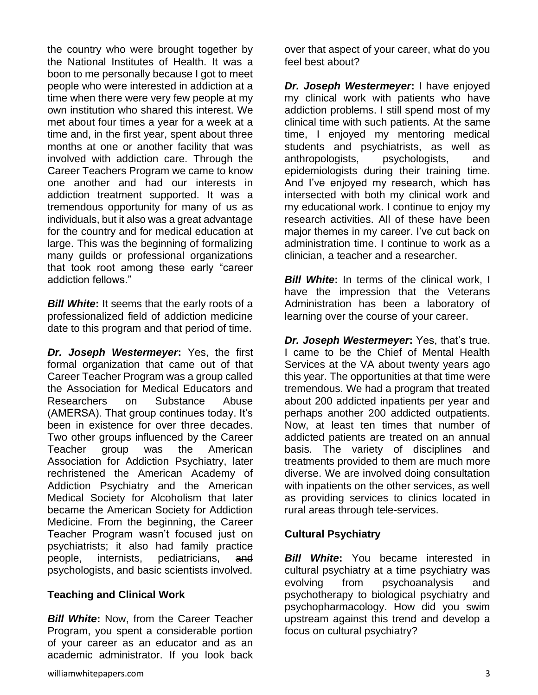the country who were brought together by the National Institutes of Health. It was a boon to me personally because I got to meet people who were interested in addiction at a time when there were very few people at my own institution who shared this interest. We met about four times a year for a week at a time and, in the first year, spent about three months at one or another facility that was involved with addiction care. Through the Career Teachers Program we came to know one another and had our interests in addiction treatment supported. It was a tremendous opportunity for many of us as individuals, but it also was a great advantage for the country and for medical education at large. This was the beginning of formalizing many guilds or professional organizations that took root among these early "career addiction fellows."

*Bill White***:** It seems that the early roots of a professionalized field of addiction medicine date to this program and that period of time.

*Dr. Joseph Westermeyer***:** Yes, the first formal organization that came out of that Career Teacher Program was a group called the Association for Medical Educators and Researchers on Substance Abuse (AMERSA). That group continues today. It's been in existence for over three decades. Two other groups influenced by the Career Teacher group was the American Association for Addiction Psychiatry, later rechristened the American Academy of Addiction Psychiatry and the American Medical Society for Alcoholism that later became the American Society for Addiction Medicine. From the beginning, the Career Teacher Program wasn't focused just on psychiatrists; it also had family practice people, internists, pediatricians, and psychologists, and basic scientists involved.

#### **Teaching and Clinical Work**

*Bill White***:** Now, from the Career Teacher Program, you spent a considerable portion of your career as an educator and as an academic administrator. If you look back over that aspect of your career, what do you feel best about?

*Dr. Joseph Westermeyer***:** I have enjoyed my clinical work with patients who have addiction problems. I still spend most of my clinical time with such patients. At the same time, I enjoyed my mentoring medical students and psychiatrists, as well as anthropologists, psychologists, and epidemiologists during their training time. And I've enjoyed my research, which has intersected with both my clinical work and my educational work. I continue to enjoy my research activities. All of these have been major themes in my career. I've cut back on administration time. I continue to work as a clinician, a teacher and a researcher.

*Bill White*: In terms of the clinical work, I have the impression that the Veterans Administration has been a laboratory of learning over the course of your career.

*Dr. Joseph Westermeyer***:** Yes, that's true. I came to be the Chief of Mental Health Services at the VA about twenty years ago this year. The opportunities at that time were tremendous. We had a program that treated about 200 addicted inpatients per year and perhaps another 200 addicted outpatients. Now, at least ten times that number of addicted patients are treated on an annual basis. The variety of disciplines and treatments provided to them are much more diverse. We are involved doing consultation with inpatients on the other services, as well as providing services to clinics located in rural areas through tele-services.

#### **Cultural Psychiatry**

*Bill White***:** You became interested in cultural psychiatry at a time psychiatry was evolving from psychoanalysis and psychotherapy to biological psychiatry and psychopharmacology. How did you swim upstream against this trend and develop a focus on cultural psychiatry?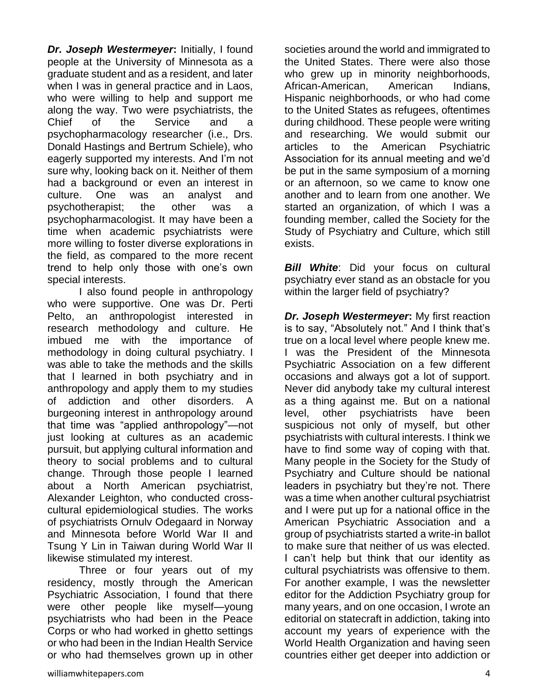*Dr. Joseph Westermeyer***:** Initially, I found people at the University of Minnesota as a graduate student and as a resident, and later when I was in general practice and in Laos, who were willing to help and support me along the way. Two were psychiatrists, the Chief of the Service and a psychopharmacology researcher (i.e., Drs. Donald Hastings and Bertrum Schiele), who eagerly supported my interests. And I'm not sure why, looking back on it. Neither of them had a background or even an interest in culture. One was an analyst and psychotherapist; the other was a psychopharmacologist. It may have been a time when academic psychiatrists were more willing to foster diverse explorations in the field, as compared to the more recent trend to help only those with one's own special interests.

I also found people in anthropology who were supportive. One was Dr. Perti Pelto, an anthropologist interested in research methodology and culture. He imbued me with the importance of methodology in doing cultural psychiatry. I was able to take the methods and the skills that I learned in both psychiatry and in anthropology and apply them to my studies of addiction and other disorders. A burgeoning interest in anthropology around that time was "applied anthropology"—not just looking at cultures as an academic pursuit, but applying cultural information and theory to social problems and to cultural change. Through those people I learned about a North American psychiatrist, Alexander Leighton, who conducted crosscultural epidemiological studies. The works of psychiatrists Ornulv Odegaard in Norway and Minnesota before World War II and Tsung Y Lin in Taiwan during World War II likewise stimulated my interest.

Three or four years out of my residency, mostly through the American Psychiatric Association, I found that there were other people like myself—young psychiatrists who had been in the Peace Corps or who had worked in ghetto settings or who had been in the Indian Health Service or who had themselves grown up in other

societies around the world and immigrated to the United States. There were also those who grew up in minority neighborhoods, African-American, American Indians, Hispanic neighborhoods, or who had come to the United States as refugees, oftentimes during childhood. These people were writing and researching. We would submit our articles to the American Psychiatric Association for its annual meeting and we'd be put in the same symposium of a morning or an afternoon, so we came to know one another and to learn from one another. We started an organization, of which I was a founding member, called the Society for the Study of Psychiatry and Culture, which still exists.

*Bill White*: Did your focus on cultural psychiatry ever stand as an obstacle for you within the larger field of psychiatry?

*Dr. Joseph Westermeyer***:** My first reaction is to say, "Absolutely not." And I think that's true on a local level where people knew me. I was the President of the Minnesota Psychiatric Association on a few different occasions and always got a lot of support. Never did anybody take my cultural interest as a thing against me. But on a national level, other psychiatrists have been suspicious not only of myself, but other psychiatrists with cultural interests. I think we have to find some way of coping with that. Many people in the Society for the Study of Psychiatry and Culture should be national leaders in psychiatry but they're not. There was a time when another cultural psychiatrist and I were put up for a national office in the American Psychiatric Association and a group of psychiatrists started a write-in ballot to make sure that neither of us was elected. I can't help but think that our identity as cultural psychiatrists was offensive to them. For another example, I was the newsletter editor for the Addiction Psychiatry group for many years, and on one occasion, I wrote an editorial on statecraft in addiction, taking into account my years of experience with the World Health Organization and having seen countries either get deeper into addiction or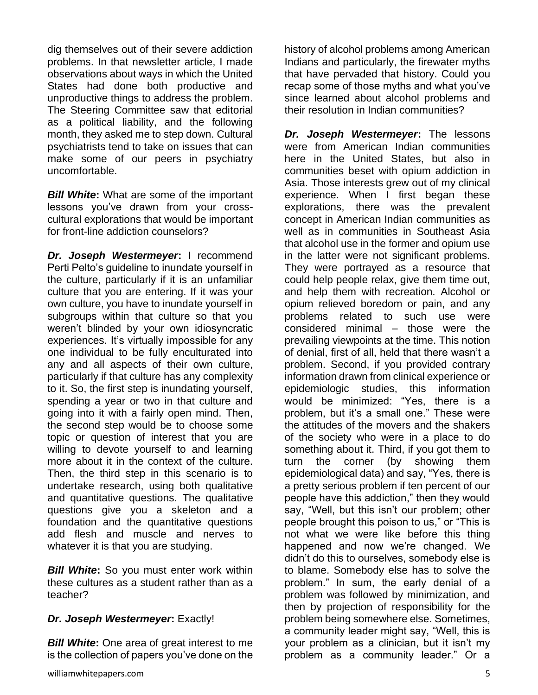dig themselves out of their severe addiction problems. In that newsletter article, I made observations about ways in which the United States had done both productive and unproductive things to address the problem. The Steering Committee saw that editorial as a political liability, and the following month, they asked me to step down. Cultural psychiatrists tend to take on issues that can make some of our peers in psychiatry uncomfortable.

*Bill White***:** What are some of the important lessons you've drawn from your crosscultural explorations that would be important for front-line addiction counselors?

*Dr. Joseph Westermeyer***:** I recommend Perti Pelto's guideline to inundate yourself in the culture, particularly if it is an unfamiliar culture that you are entering. If it was your own culture, you have to inundate yourself in subgroups within that culture so that you weren't blinded by your own idiosyncratic experiences. It's virtually impossible for any one individual to be fully enculturated into any and all aspects of their own culture, particularly if that culture has any complexity to it. So, the first step is inundating yourself, spending a year or two in that culture and going into it with a fairly open mind. Then, the second step would be to choose some topic or question of interest that you are willing to devote yourself to and learning more about it in the context of the culture. Then, the third step in this scenario is to undertake research, using both qualitative and quantitative questions. The qualitative questions give you a skeleton and a foundation and the quantitative questions add flesh and muscle and nerves to whatever it is that you are studying.

*Bill White***:** So you must enter work within these cultures as a student rather than as a teacher?

#### *Dr. Joseph Westermeyer***:** Exactly!

*Bill White***:** One area of great interest to me is the collection of papers you've done on the history of alcohol problems among American Indians and particularly, the firewater myths that have pervaded that history. Could you recap some of those myths and what you've since learned about alcohol problems and their resolution in Indian communities?

*Dr. Joseph Westermeyer***:** The lessons were from American Indian communities here in the United States, but also in communities beset with opium addiction in Asia. Those interests grew out of my clinical experience. When I first began these explorations, there was the prevalent concept in American Indian communities as well as in communities in Southeast Asia that alcohol use in the former and opium use in the latter were not significant problems. They were portrayed as a resource that could help people relax, give them time out, and help them with recreation. Alcohol or opium relieved boredom or pain, and any problems related to such use were considered minimal – those were the prevailing viewpoints at the time. This notion of denial, first of all, held that there wasn't a problem. Second, if you provided contrary information drawn from clinical experience or epidemiologic studies, this information would be minimized: "Yes, there is a problem, but it's a small one." These were the attitudes of the movers and the shakers of the society who were in a place to do something about it. Third, if you got them to turn the corner (by showing them epidemiological data) and say, "Yes, there is a pretty serious problem if ten percent of our people have this addiction," then they would say, "Well, but this isn't our problem; other people brought this poison to us," or "This is not what we were like before this thing happened and now we're changed. We didn't do this to ourselves, somebody else is to blame. Somebody else has to solve the problem." In sum, the early denial of a problem was followed by minimization, and then by projection of responsibility for the problem being somewhere else. Sometimes, a community leader might say, "Well, this is your problem as a clinician, but it isn't my problem as a community leader." Or a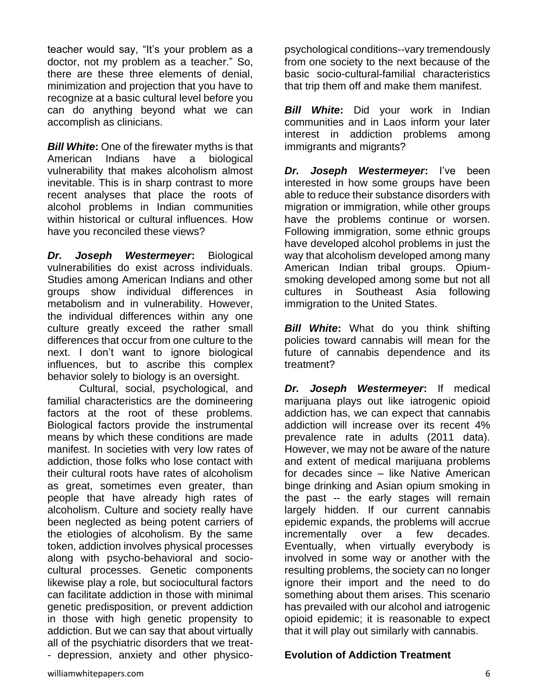teacher would say, "It's your problem as a doctor, not my problem as a teacher." So, there are these three elements of denial, minimization and projection that you have to recognize at a basic cultural level before you can do anything beyond what we can accomplish as clinicians.

*Bill White***:** One of the firewater myths is that American Indians have a biological vulnerability that makes alcoholism almost inevitable. This is in sharp contrast to more recent analyses that place the roots of alcohol problems in Indian communities within historical or cultural influences. How have you reconciled these views?

*Dr. Joseph Westermeyer***:** Biological vulnerabilities do exist across individuals. Studies among American Indians and other groups show individual differences in metabolism and in vulnerability. However, the individual differences within any one culture greatly exceed the rather small differences that occur from one culture to the next. I don't want to ignore biological influences, but to ascribe this complex behavior solely to biology is an oversight.

Cultural, social, psychological, and familial characteristics are the domineering factors at the root of these problems. Biological factors provide the instrumental means by which these conditions are made manifest. In societies with very low rates of addiction, those folks who lose contact with their cultural roots have rates of alcoholism as great, sometimes even greater, than people that have already high rates of alcoholism. Culture and society really have been neglected as being potent carriers of the etiologies of alcoholism. By the same token, addiction involves physical processes along with psycho-behavioral and sociocultural processes. Genetic components likewise play a role, but sociocultural factors can facilitate addiction in those with minimal genetic predisposition, or prevent addiction in those with high genetic propensity to addiction. But we can say that about virtually all of the psychiatric disorders that we treat- - depression, anxiety and other physicopsychological conditions--vary tremendously from one society to the next because of the basic socio-cultural-familial characteristics that trip them off and make them manifest.

*Bill White***:** Did your work in Indian communities and in Laos inform your later interest in addiction problems among immigrants and migrants?

*Dr. Joseph Westermeyer***:** I've been interested in how some groups have been able to reduce their substance disorders with migration or immigration, while other groups have the problems continue or worsen. Following immigration, some ethnic groups have developed alcohol problems in just the way that alcoholism developed among many American Indian tribal groups. Opiumsmoking developed among some but not all cultures in Southeast Asia following immigration to the United States.

*Bill White***:** What do you think shifting policies toward cannabis will mean for the future of cannabis dependence and its treatment?

*Dr. Joseph Westermeyer***:** If medical marijuana plays out like iatrogenic opioid addiction has, we can expect that cannabis addiction will increase over its recent 4% prevalence rate in adults (2011 data). However, we may not be aware of the nature and extent of medical marijuana problems for decades since – like Native American binge drinking and Asian opium smoking in the past -- the early stages will remain largely hidden. If our current cannabis epidemic expands, the problems will accrue incrementally over a few decades. Eventually, when virtually everybody is involved in some way or another with the resulting problems, the society can no longer ignore their import and the need to do something about them arises. This scenario has prevailed with our alcohol and iatrogenic opioid epidemic; it is reasonable to expect that it will play out similarly with cannabis.

## **Evolution of Addiction Treatment**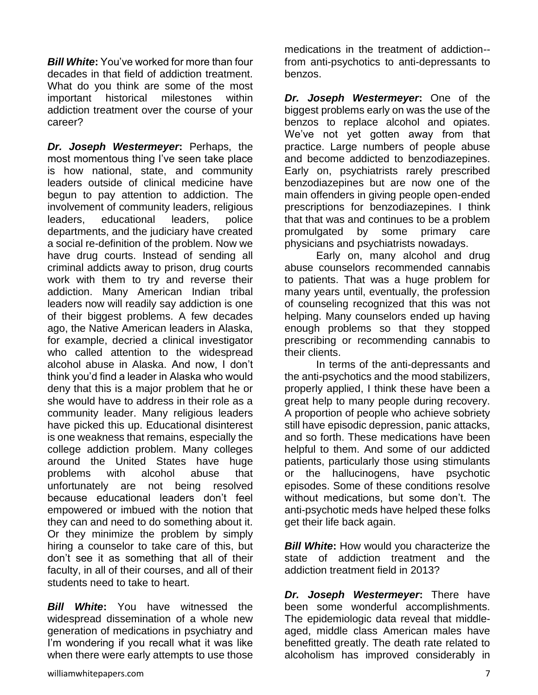*Bill White***:** You've worked for more than four decades in that field of addiction treatment. What do you think are some of the most important historical milestones within addiction treatment over the course of your career?

*Dr. Joseph Westermeyer***:** Perhaps, the most momentous thing I've seen take place is how national, state, and community leaders outside of clinical medicine have begun to pay attention to addiction. The involvement of community leaders, religious leaders, educational leaders, police departments, and the judiciary have created a social re-definition of the problem. Now we have drug courts. Instead of sending all criminal addicts away to prison, drug courts work with them to try and reverse their addiction. Many American Indian tribal leaders now will readily say addiction is one of their biggest problems. A few decades ago, the Native American leaders in Alaska, for example, decried a clinical investigator who called attention to the widespread alcohol abuse in Alaska. And now, I don't think you'd find a leader in Alaska who would deny that this is a major problem that he or she would have to address in their role as a community leader. Many religious leaders have picked this up. Educational disinterest is one weakness that remains, especially the college addiction problem. Many colleges around the United States have huge problems with alcohol abuse that unfortunately are not being resolved because educational leaders don't feel empowered or imbued with the notion that they can and need to do something about it. Or they minimize the problem by simply hiring a counselor to take care of this, but don't see it as something that all of their faculty, in all of their courses, and all of their students need to take to heart.

*Bill White***:** You have witnessed the widespread dissemination of a whole new generation of medications in psychiatry and I'm wondering if you recall what it was like when there were early attempts to use those

*Dr. Joseph Westermeyer***:** One of the biggest problems early on was the use of the benzos to replace alcohol and opiates. We've not yet gotten away from that practice. Large numbers of people abuse and become addicted to benzodiazepines. Early on, psychiatrists rarely prescribed benzodiazepines but are now one of the main offenders in giving people open-ended prescriptions for benzodiazepines. I think that that was and continues to be a problem promulgated by some primary care physicians and psychiatrists nowadays.

Early on, many alcohol and drug abuse counselors recommended cannabis to patients. That was a huge problem for many years until, eventually, the profession of counseling recognized that this was not helping. Many counselors ended up having enough problems so that they stopped prescribing or recommending cannabis to their clients.

In terms of the anti-depressants and the anti-psychotics and the mood stabilizers, properly applied, I think these have been a great help to many people during recovery. A proportion of people who achieve sobriety still have episodic depression, panic attacks, and so forth. These medications have been helpful to them. And some of our addicted patients, particularly those using stimulants or the hallucinogens, have psychotic episodes. Some of these conditions resolve without medications, but some don't. The anti-psychotic meds have helped these folks get their life back again.

**Bill White:** How would you characterize the state of addiction treatment and the addiction treatment field in 2013?

*Dr. Joseph Westermeyer***:** There have been some wonderful accomplishments. The epidemiologic data reveal that middleaged, middle class American males have benefitted greatly. The death rate related to alcoholism has improved considerably in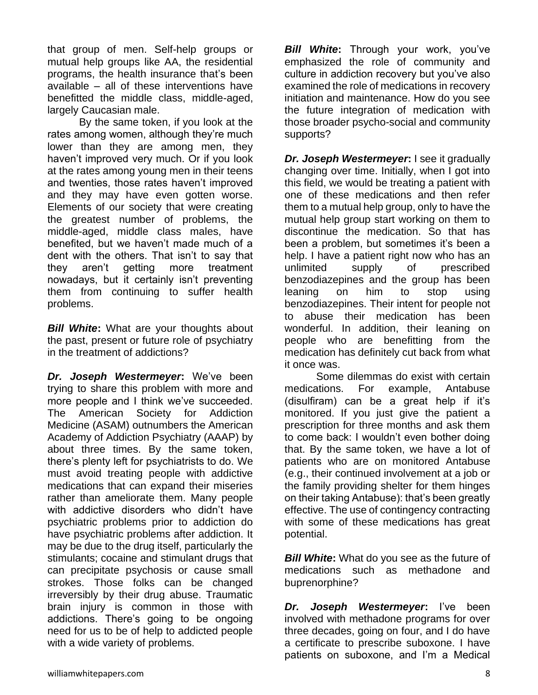that group of men. Self-help groups or mutual help groups like AA, the residential programs, the health insurance that's been available – all of these interventions have benefitted the middle class, middle-aged, largely Caucasian male.

By the same token, if you look at the rates among women, although they're much lower than they are among men, they haven't improved very much. Or if you look at the rates among young men in their teens and twenties, those rates haven't improved and they may have even gotten worse. Elements of our society that were creating the greatest number of problems, the middle-aged, middle class males, have benefited, but we haven't made much of a dent with the others. That isn't to say that they aren't getting more treatment nowadays, but it certainly isn't preventing them from continuing to suffer health problems.

*Bill White***:** What are your thoughts about the past, present or future role of psychiatry in the treatment of addictions?

*Dr. Joseph Westermeyer***:** We've been trying to share this problem with more and more people and I think we've succeeded. The American Society for Addiction Medicine (ASAM) outnumbers the American Academy of Addiction Psychiatry (AAAP) by about three times. By the same token, there's plenty left for psychiatrists to do. We must avoid treating people with addictive medications that can expand their miseries rather than ameliorate them. Many people with addictive disorders who didn't have psychiatric problems prior to addiction do have psychiatric problems after addiction. It may be due to the drug itself, particularly the stimulants; cocaine and stimulant drugs that can precipitate psychosis or cause small strokes. Those folks can be changed irreversibly by their drug abuse. Traumatic brain injury is common in those with addictions. There's going to be ongoing need for us to be of help to addicted people with a wide variety of problems.

**Bill White:** Through your work, you've emphasized the role of community and culture in addiction recovery but you've also examined the role of medications in recovery initiation and maintenance. How do you see the future integration of medication with those broader psycho-social and community supports?

*Dr. Joseph Westermeyer***: I see it gradually** changing over time. Initially, when I got into this field, we would be treating a patient with one of these medications and then refer them to a mutual help group, only to have the mutual help group start working on them to discontinue the medication. So that has been a problem, but sometimes it's been a help. I have a patient right now who has an unlimited supply of prescribed benzodiazepines and the group has been leaning on him to stop using benzodiazepines. Their intent for people not to abuse their medication has been wonderful. In addition, their leaning on people who are benefitting from the medication has definitely cut back from what it once was.

Some dilemmas do exist with certain medications. For example, Antabuse (disulfiram) can be a great help if it's monitored. If you just give the patient a prescription for three months and ask them to come back: I wouldn't even bother doing that. By the same token, we have a lot of patients who are on monitored Antabuse (e.g., their continued involvement at a job or the family providing shelter for them hinges on their taking Antabuse): that's been greatly effective. The use of contingency contracting with some of these medications has great potential.

*Bill White***:** What do you see as the future of medications such as methadone and buprenorphine?

*Dr. Joseph Westermeyer***:** I've been involved with methadone programs for over three decades, going on four, and I do have a certificate to prescribe suboxone. I have patients on suboxone, and I'm a Medical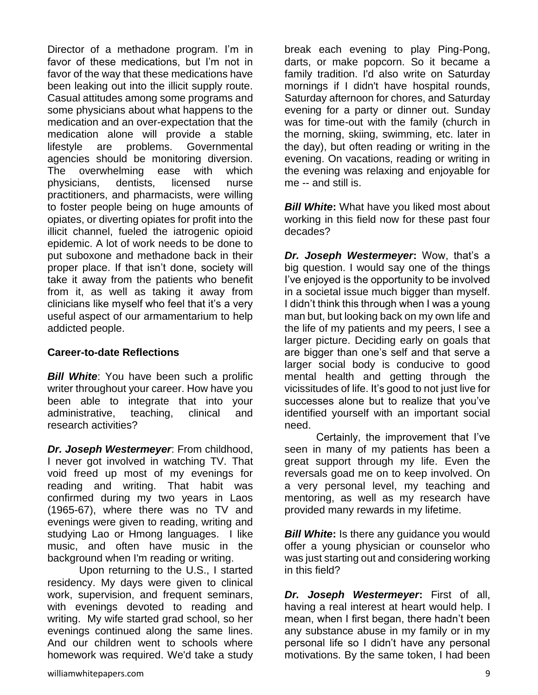Director of a methadone program. I'm in favor of these medications, but I'm not in favor of the way that these medications have been leaking out into the illicit supply route. Casual attitudes among some programs and some physicians about what happens to the medication and an over-expectation that the medication alone will provide a stable lifestyle are problems. Governmental agencies should be monitoring diversion. The overwhelming ease with which physicians, dentists, licensed nurse practitioners, and pharmacists, were willing to foster people being on huge amounts of opiates, or diverting opiates for profit into the illicit channel, fueled the iatrogenic opioid epidemic. A lot of work needs to be done to put suboxone and methadone back in their proper place. If that isn't done, society will take it away from the patients who benefit from it, as well as taking it away from clinicians like myself who feel that it's a very useful aspect of our armamentarium to help addicted people.

#### **Career-to-date Reflections**

*Bill White*: You have been such a prolific writer throughout your career. How have you been able to integrate that into your administrative, teaching, clinical and research activities?

*Dr. Joseph Westermeyer*: From childhood, I never got involved in watching TV. That void freed up most of my evenings for reading and writing. That habit was confirmed during my two years in Laos (1965-67), where there was no TV and evenings were given to reading, writing and studying Lao or Hmong languages. I like music, and often have music in the background when I'm reading or writing.

Upon returning to the U.S., I started residency. My days were given to clinical work, supervision, and frequent seminars, with evenings devoted to reading and writing. My wife started grad school, so her evenings continued along the same lines. And our children went to schools where homework was required. We'd take a study break each evening to play Ping-Pong, darts, or make popcorn. So it became a family tradition. I'd also write on Saturday mornings if I didn't have hospital rounds, Saturday afternoon for chores, and Saturday evening for a party or dinner out. Sunday was for time-out with the family (church in the morning, skiing, swimming, etc. later in the day), but often reading or writing in the evening. On vacations, reading or writing in the evening was relaxing and enjoyable for me -- and still is.

*Bill White***:** What have you liked most about working in this field now for these past four decades?

*Dr. Joseph Westermeyer***:** Wow, that's a big question. I would say one of the things I've enjoyed is the opportunity to be involved in a societal issue much bigger than myself. I didn't think this through when I was a young man but, but looking back on my own life and the life of my patients and my peers, I see a larger picture. Deciding early on goals that are bigger than one's self and that serve a larger social body is conducive to good mental health and getting through the vicissitudes of life. It's good to not just live for successes alone but to realize that you've identified yourself with an important social need.

Certainly, the improvement that I've seen in many of my patients has been a great support through my life. Even the reversals goad me on to keep involved. On a very personal level, my teaching and mentoring, as well as my research have provided many rewards in my lifetime.

*Bill White:* Is there any guidance you would offer a young physician or counselor who was just starting out and considering working in this field?

*Dr. Joseph Westermeyer***:** First of all, having a real interest at heart would help. I mean, when I first began, there hadn't been any substance abuse in my family or in my personal life so I didn't have any personal motivations. By the same token, I had been